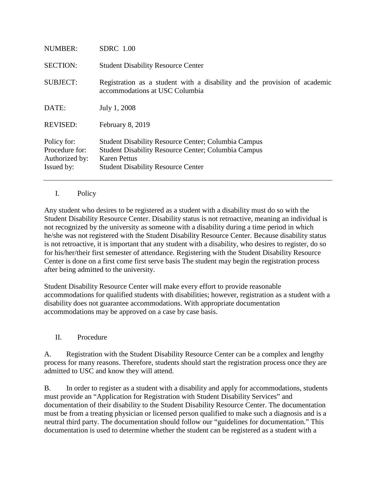| <b>NUMBER:</b>                                                | <b>SDRC</b> 1.00                                                                                                                                                                      |
|---------------------------------------------------------------|---------------------------------------------------------------------------------------------------------------------------------------------------------------------------------------|
| <b>SECTION:</b>                                               | <b>Student Disability Resource Center</b>                                                                                                                                             |
| <b>SUBJECT:</b>                                               | Registration as a student with a disability and the provision of academic<br>accommodations at USC Columbia                                                                           |
| DATE:                                                         | July 1, 2008                                                                                                                                                                          |
| <b>REVISED:</b>                                               | February 8, 2019                                                                                                                                                                      |
| Policy for:<br>Procedure for:<br>Authorized by:<br>Issued by: | <b>Student Disability Resource Center; Columbia Campus</b><br><b>Student Disability Resource Center; Columbia Campus</b><br>Karen Pettus<br><b>Student Disability Resource Center</b> |

## I. Policy

Any student who desires to be registered as a student with a disability must do so with the Student Disability Resource Center. Disability status is not retroactive, meaning an individual is not recognized by the university as someone with a disability during a time period in which he/she was not registered with the Student Disability Resource Center. Because disability status is not retroactive, it is important that any student with a disability, who desires to register, do so for his/her/their first semester of attendance. Registering with the Student Disability Resource Center is done on a first come first serve basis The student may begin the registration process after being admitted to the university.

Student Disability Resource Center will make every effort to provide reasonable accommodations for qualified students with disabilities; however, registration as a student with a disability does not guarantee accommodations. With appropriate documentation accommodations may be approved on a case by case basis.

## II. Procedure

A. Registration with the Student Disability Resource Center can be a complex and lengthy process for many reasons. Therefore, students should start the registration process once they are admitted to USC and know they will attend.

B. In order to register as a student with a disability and apply for accommodations, students must provide an "Application for Registration with Student Disability Services" and documentation of their disability to the Student Disability Resource Center. The documentation must be from a treating physician or licensed person qualified to make such a diagnosis and is a neutral third party. The documentation should follow our "guidelines for documentation." This documentation is used to determine whether the student can be registered as a student with a